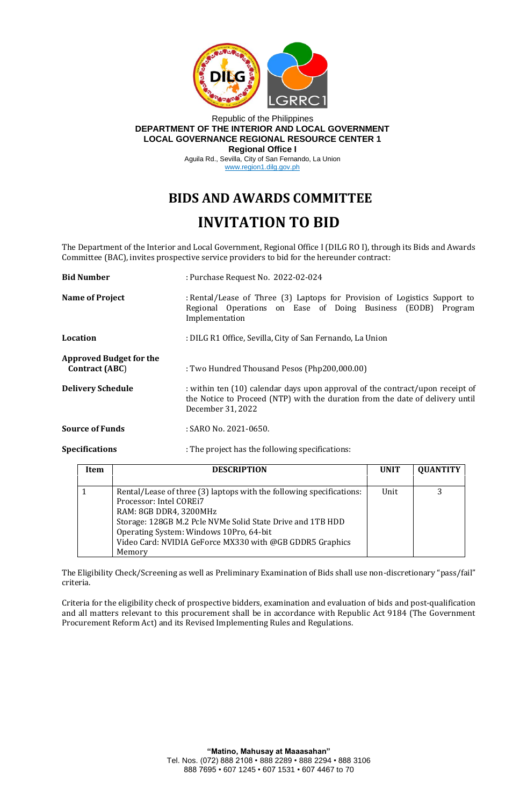

## Republic of the Philippines **DEPARTMENT OF THE INTERIOR AND LOCAL GOVERNMENT LOCAL GOVERNANCE REGIONAL RESOURCE CENTER 1 Regional Office I**

Aguila Rd., Sevilla, City of San Fernando, La Union www.region1.dilg.gov.ph

## **BIDS AND AWARDS COMMITTEE INVITATION TO BID**

The Department of the Interior and Local Government, Regional Office I (DILG RO I), through its Bids and Awards Committee (BAC), invites prospective service providers to bid for the hereunder contract:

| <b>Bid Number</b>                                       | : Purchase Request No. 2022-02-024                                                                                                                                                  |  |
|---------------------------------------------------------|-------------------------------------------------------------------------------------------------------------------------------------------------------------------------------------|--|
| <b>Name of Project</b>                                  | : Rental/Lease of Three (3) Laptops for Provision of Logistics Support to<br>Regional Operations on Ease of Doing Business (EODB) Program<br>Implementation                         |  |
| Location                                                | : DILG R1 Office, Sevilla, City of San Fernando, La Union                                                                                                                           |  |
| <b>Approved Budget for the</b><br><b>Contract (ABC)</b> | : Two Hundred Thousand Pesos (Php200,000.00)                                                                                                                                        |  |
| <b>Delivery Schedule</b>                                | : within ten (10) calendar days upon approval of the contract/upon receipt of<br>the Notice to Proceed (NTP) with the duration from the date of delivery until<br>December 31, 2022 |  |
| <b>Source of Funds</b>                                  | $:$ SARO No. 2021-0650.                                                                                                                                                             |  |
| <b>Specifications</b>                                   | : The project has the following specifications:                                                                                                                                     |  |

| Item | <b>DESCRIPTION</b>                                                                                                                                                                                                                                                                                       | <b>UNIT</b> | <b>QUANTITY</b> |
|------|----------------------------------------------------------------------------------------------------------------------------------------------------------------------------------------------------------------------------------------------------------------------------------------------------------|-------------|-----------------|
|      | Rental/Lease of three (3) laptops with the following specifications:<br>Processor: Intel COREi7<br>RAM: 8GB DDR4, 3200MHz<br>Storage: 128GB M.2 Pcle NVMe Solid State Drive and 1TB HDD<br>Operating System: Windows 10Pro, 64-bit<br>Video Card: NVIDIA GeForce MX330 with @GB GDDR5 Graphics<br>Memory | Unit        |                 |

The Eligibility Check/Screening as well as Preliminary Examination of Bids shall use non-discretionary "pass/fail" criteria.

Criteria for the eligibility check of prospective bidders, examination and evaluation of bids and post-qualification and all matters relevant to this procurement shall be in accordance with Republic Act 9184 (The Government Procurement Reform Act) and its Revised Implementing Rules and Regulations.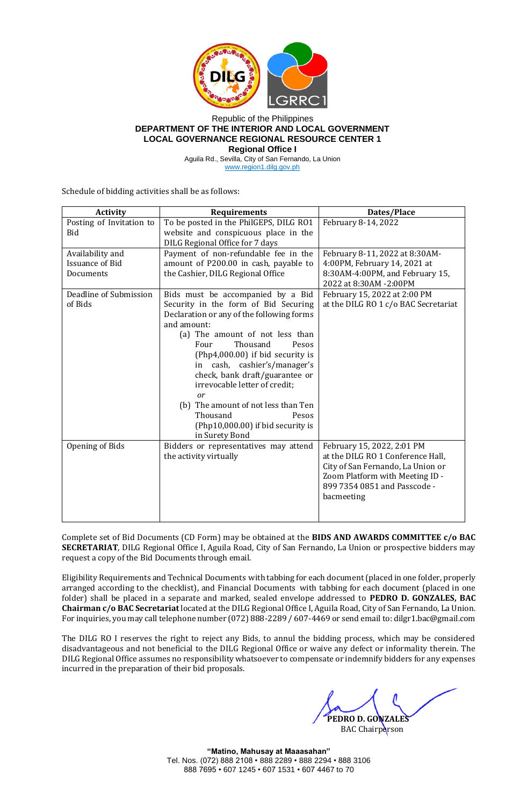

## Republic of the Philippines **DEPARTMENT OF THE INTERIOR AND LOCAL GOVERNMENT LOCAL GOVERNANCE REGIONAL RESOURCE CENTER 1**

**Regional Office I**

Aguila Rd., Sevilla, City of San Fernando, La Union www.region1.dilg.gov.ph

Schedule of bidding activities shall be as follows:

| <b>Activity</b>          | <b>Requirements</b>                                      | Dates/Place                          |
|--------------------------|----------------------------------------------------------|--------------------------------------|
| Posting of Invitation to | To be posted in the PhilGEPS, DILG RO1                   | February 8-14, 2022                  |
| <b>Bid</b>               | website and conspicuous place in the                     |                                      |
|                          | DILG Regional Office for 7 days                          |                                      |
| Availability and         | Payment of non-refundable fee in the                     | February 8-11, 2022 at 8:30AM-       |
| <b>Issuance of Bid</b>   | amount of P200.00 in cash, payable to                    | 4:00PM, February 14, 2021 at         |
| Documents                | the Cashier, DILG Regional Office                        | 8:30AM-4:00PM, and February 15,      |
|                          |                                                          | 2022 at 8:30AM -2:00PM               |
| Deadline of Submission   | Bids must be accompanied by a Bid                        | February 15, 2022 at 2:00 PM         |
| of Bids                  | Security in the form of Bid Securing                     | at the DILG RO 1 c/o BAC Secretariat |
|                          | Declaration or any of the following forms<br>and amount: |                                      |
|                          | (a) The amount of not less than                          |                                      |
|                          | Thousand<br>Four<br>Pesos                                |                                      |
|                          | (Php4,000.00) if bid security is                         |                                      |
|                          | cash, cashier's/manager's<br>in                          |                                      |
|                          | check, bank draft/guarantee or                           |                                      |
|                          | irrevocable letter of credit;                            |                                      |
|                          | or                                                       |                                      |
|                          | (b) The amount of not less than Ten                      |                                      |
|                          | Thousand<br>Pesos                                        |                                      |
|                          | (Php10,000.00) if bid security is                        |                                      |
|                          | in Surety Bond                                           |                                      |
| Opening of Bids          | Bidders or representatives may attend                    | February 15, 2022, 2:01 PM           |
|                          | the activity virtually                                   | at the DILG RO 1 Conference Hall,    |
|                          |                                                          | City of San Fernando, La Union or    |
|                          |                                                          | Zoom Platform with Meeting ID -      |
|                          |                                                          | 899 7354 0851 and Passcode -         |
|                          |                                                          | bacmeeting                           |
|                          |                                                          |                                      |

Complete set of Bid Documents (CD Form) may be obtained at the **BIDS AND AWARDS COMMITTEE c/o BAC SECRETARIAT**, DILG Regional Office I, Aguila Road, City of San Fernando, La Union or prospective bidders may request a copy of the Bid Documents through email.

Eligibility Requirements and Technical Documents with tabbing for each document (placed in one folder, properly arranged according to the checklist), and Financial Documents with tabbing for each document (placed in one folder) shall be placed in a separate and marked, sealed envelope addressed to **PEDRO D. GONZALES, BAC Chairman c/o BAC Secretariat** located at the DILG Regional Office I, Aguila Road, City of San Fernando, La Union. For inquiries, you may call telephone number (072) 888-2289 / 607-4469 or send email to: dilgr1.bac@gmail.com

The DILG RO I reserves the right to reject any Bids, to annul the bidding process, which may be considered disadvantageous and not beneficial to the DILG Regional Office or waive any defect or informality therein. The DILG Regional Office assumes no responsibility whatsoever to compensate or indemnify bidders for any expenses incurred in the preparation of their bid proposals.

 **PEDRO D. GONZALES**

**BAC** Chairperson

**"Matino, Mahusay at Maaasahan"** Tel. Nos. (072) 888 2108 • 888 2289 • 888 2294 • 888 3106 888 7695 • 607 1245 • 607 1531 • 607 4467 to 70